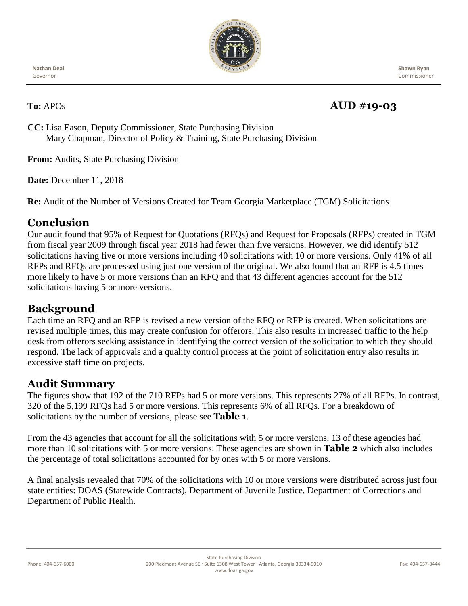

**Nathan Deal** Governor

 **Shawn Ryan** Commissioner

## **To:** APOs **AUD #19-03**

**CC:** Lisa Eason, Deputy Commissioner, State Purchasing Division Mary Chapman, Director of Policy & Training, State Purchasing Division

**From:** Audits, State Purchasing Division

**Date:** December 11, 2018

**Re:** Audit of the Number of Versions Created for Team Georgia Marketplace (TGM) Solicitations

### **Conclusion**

Our audit found that 95% of Request for Quotations (RFQs) and Request for Proposals (RFPs) created in TGM from fiscal year 2009 through fiscal year 2018 had fewer than five versions. However, we did identify 512 solicitations having five or more versions including 40 solicitations with 10 or more versions. Only 41% of all RFPs and RFQs are processed using just one version of the original. We also found that an RFP is 4.5 times more likely to have 5 or more versions than an RFQ and that 43 different agencies account for the 512 solicitations having 5 or more versions.

# **Background**

Each time an RFQ and an RFP is revised a new version of the RFQ or RFP is created. When solicitations are revised multiple times, this may create confusion for offerors. This also results in increased traffic to the help desk from offerors seeking assistance in identifying the correct version of the solicitation to which they should respond. The lack of approvals and a quality control process at the point of solicitation entry also results in excessive staff time on projects.

#### **Audit Summary**

The figures show that 192 of the 710 RFPs had 5 or more versions. This represents 27% of all RFPs. In contrast, 320 of the 5,199 RFQs had 5 or more versions. This represents 6% of all RFQs. For a breakdown of solicitations by the number of versions, please see **Table 1**.

From the 43 agencies that account for all the solicitations with 5 or more versions, 13 of these agencies had more than 10 solicitations with 5 or more versions. These agencies are shown in **Table 2** which also includes the percentage of total solicitations accounted for by ones with 5 or more versions.

A final analysis revealed that 70% of the solicitations with 10 or more versions were distributed across just four state entities: DOAS (Statewide Contracts), Department of Juvenile Justice, Department of Corrections and Department of Public Health.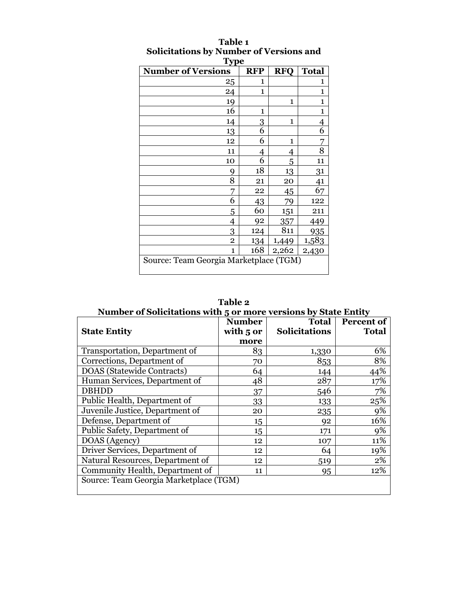| <b>Type</b><br><b>Number of Versions</b> | <b>RFP</b>   | <b>RFQ</b> | <b>Total</b>   |
|------------------------------------------|--------------|------------|----------------|
| 25                                       | 1            |            | 1              |
| 24                                       | $\mathbf{1}$ |            | $\mathbf{1}$   |
| 19                                       |              | 1          | $\mathbf{1}$   |
| 16                                       | 1            |            | 1              |
| 14                                       | 3            | 1          | $\overline{4}$ |
| 13                                       | 6            |            | 6              |
| 12                                       | 6            | 1          | 7              |
| 11                                       | 4            | 4          | 8              |
| 10                                       | 6            | 5          | 11             |
| 9                                        | 18           | 13         | 31             |
| 8                                        | 21           | 20         | 41             |
| 7                                        | 22           | 45         | 67             |
| 6                                        | 43           | 79         | 122            |
| 5                                        | 60           | 151        | 211            |
| 4                                        | 92           | 357        | 449            |
| 3                                        | 124          | 811        | 935            |
| $\overline{2}$                           | 134          | 1,449      | 1,583          |
| 1                                        | 168          | 2,262      | 2,430          |
| Source: Team Georgia Marketplace (TGM)   |              |            |                |

### **Table 1 Solicitations by Number of Versions and**

| TUVIL 4<br>Number of Solicitations with 5 or more versions by State Entity |                                    |                               |                                   |  |  |  |
|----------------------------------------------------------------------------|------------------------------------|-------------------------------|-----------------------------------|--|--|--|
| <b>State Entity</b>                                                        | <b>Number</b><br>with 5 or<br>more | Total<br><b>Solicitations</b> | <b>Percent of</b><br><b>Total</b> |  |  |  |
| Transportation, Department of                                              | 83                                 | 1,330                         | 6%                                |  |  |  |
| Corrections, Department of                                                 | 70                                 | 853                           | 8%                                |  |  |  |
| DOAS (Statewide Contracts)                                                 | 64                                 | 144                           | 44%                               |  |  |  |
| Human Services, Department of                                              | 48                                 | 287                           | 17%                               |  |  |  |
| <b>DBHDD</b>                                                               | 37                                 | 546                           | 7%                                |  |  |  |
| Public Health, Department of                                               | 33                                 | 133                           | 25%                               |  |  |  |
| Juvenile Justice, Department of                                            | 20                                 | 235                           | 9%                                |  |  |  |
| Defense, Department of                                                     | 15                                 | 92                            | 16%                               |  |  |  |
| Public Safety, Department of                                               | 15                                 | 171                           | 9%                                |  |  |  |
| DOAS (Agency)                                                              | 12                                 | 107                           | 11%                               |  |  |  |
| Driver Services, Department of                                             | 12                                 | 64                            | 19%                               |  |  |  |
| Natural Resources, Department of                                           | 12                                 | 519                           | 2%                                |  |  |  |
| Community Health, Department of                                            | 11                                 | 95                            | 12%                               |  |  |  |
| Source: Team Georgia Marketplace (TGM)                                     |                                    |                               |                                   |  |  |  |

**Table 2**